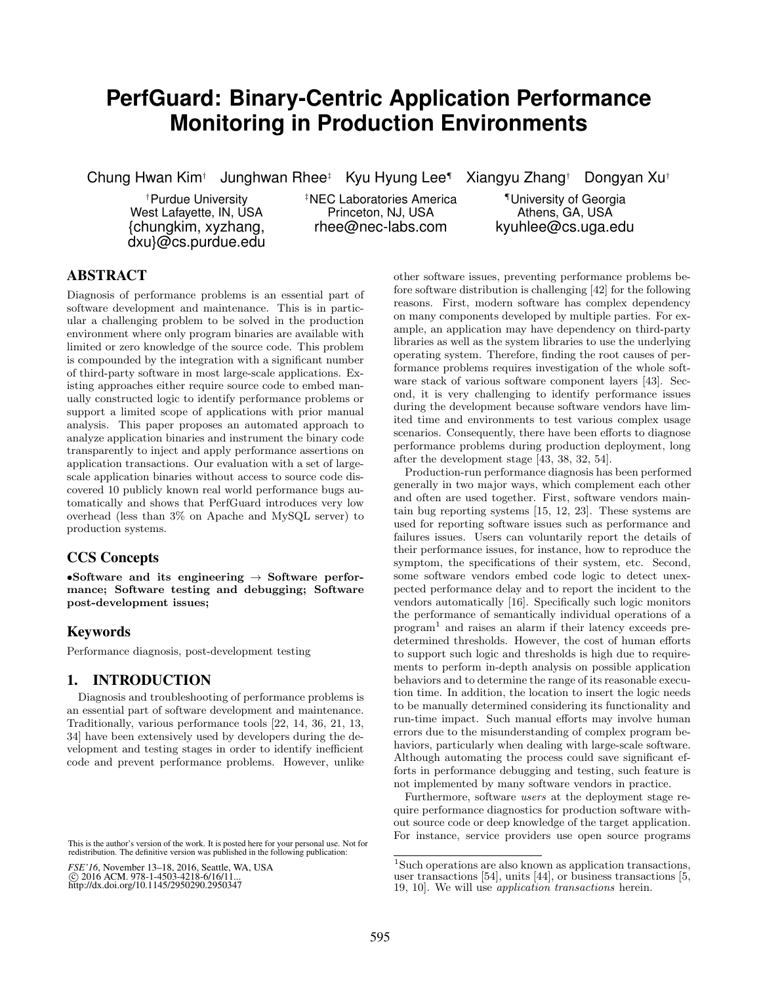# **PerfGuard: Binary-Centric Application Performance Monitoring in Production Environments**

Chung Hwan Kim† Junghwan Rhee‡ Kyu Hyung Lee¶ Xiangyu Zhang† Dongyan Xu†

{chungkim, xyzhang, dxu}@cs.purdue.edu

†Purdue University ‡NEC Laboratories America ¶University of Georgia West Lafayette, IN, USA Princeton, NJ, USA Athens, GA, USA rhee@nec-labs.com kyuhlee@cs.uga.edu

# ABSTRACT

Diagnosis of performance problems is an essential part of software development and maintenance. This is in particular a challenging problem to be solved in the production environment where only program binaries are available with limited or zero knowledge of the source code. This problem is compounded by the integration with a significant number of third-party software in most large-scale applications. Existing approaches either require source code to embed manually constructed logic to identify performance problems or support a limited scope of applications with prior manual analysis. This paper proposes an automated approach to analyze application binaries and instrument the binary code transparently to inject and apply performance assertions on application transactions. Our evaluation with a set of largescale application binaries without access to source code discovered 10 publicly known real world performance bugs automatically and shows that PerfGuard introduces very low overhead (less than 3% on Apache and MySQL server) to production systems.

#### CCS Concepts

•Software and its engineering  $\rightarrow$  Software performance; Software testing and debugging; Software post-development issues;

## Keywords

Performance diagnosis, post-development testing

#### 1. INTRODUCTION

Diagnosis and troubleshooting of performance problems is an essential part of software development and maintenance. Traditionally, various performance tools [\[22,](#page-10-0) [14,](#page-10-1) [36,](#page-11-0) [21,](#page-10-2) [13,](#page-10-3) [34\]](#page-10-4) have been extensively used by developers during the development and testing stages in order to identify inefficient code and prevent performance problems. However, unlike

other software issues, preventing performance problems before software distribution is challenging [\[42\]](#page-11-1) for the following reasons. First, modern software has complex dependency on many components developed by multiple parties. For example, an application may have dependency on third-party libraries as well as the system libraries to use the underlying operating system. Therefore, finding the root causes of performance problems requires investigation of the whole software stack of various software component layers [\[43\]](#page-11-2). Second, it is very challenging to identify performance issues during the development because software vendors have limited time and environments to test various complex usage scenarios. Consequently, there have been efforts to diagnose performance problems during production deployment, long after the development stage [\[43,](#page-11-2) [38,](#page-11-3) [32,](#page-10-5) [54\]](#page-11-4).

Production-run performance diagnosis has been performed generally in two major ways, which complement each other and often are used together. First, software vendors maintain bug reporting systems [\[15,](#page-10-6) [12,](#page-10-7) [23\]](#page-10-8). These systems are used for reporting software issues such as performance and failures issues. Users can voluntarily report the details of their performance issues, for instance, how to reproduce the symptom, the specifications of their system, etc. Second, some software vendors embed code logic to detect unexpected performance delay and to report the incident to the vendors automatically [\[16\]](#page-10-9). Specifically such logic monitors the performance of semantically individual operations of a program<sup>[1](#page-0-0)</sup> and raises an alarm if their latency exceeds predetermined thresholds. However, the cost of human efforts to support such logic and thresholds is high due to requirements to perform in-depth analysis on possible application behaviors and to determine the range of its reasonable execution time. In addition, the location to insert the logic needs to be manually determined considering its functionality and run-time impact. Such manual efforts may involve human errors due to the misunderstanding of complex program behaviors, particularly when dealing with large-scale software. Although automating the process could save significant efforts in performance debugging and testing, such feature is not implemented by many software vendors in practice.

Furthermore, software users at the deployment stage require performance diagnostics for production software without source code or deep knowledge of the target application. For instance, service providers use open source programs

This is the author's version of the work. It is posted here for your personal use. Not for redistribution. The definitive version was published in the following publication:

*FSE'16*, November 13–18, 2016, Seattle, WA, USA © 2016 ACM. 978-1-4503-4218-6/16/11... http://dx.doi.org/10.1145/2950290.2950347

<span id="page-0-0"></span><sup>&</sup>lt;sup>1</sup>Such operations are also known as application transactions, user transactions [\[54\]](#page-11-4), units [\[44\]](#page-11-5), or business transactions [\[5,](#page-10-10) [19,](#page-10-11) [10\]](#page-10-12). We will use application transactions herein.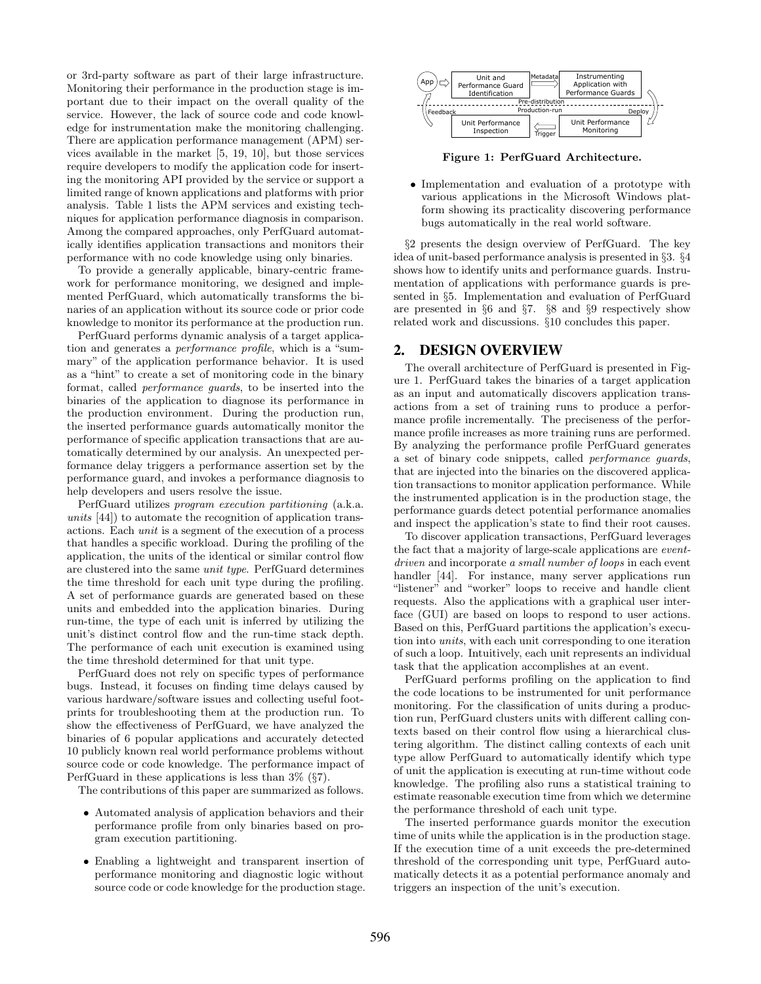or 3rd-party software as part of their large infrastructure. Monitoring their performance in the production stage is important due to their impact on the overall quality of the service. However, the lack of source code and code knowledge for instrumentation make the monitoring challenging. There are application performance management (APM) services available in the market [\[5,](#page-10-10) [19,](#page-10-11) [10\]](#page-10-12), but those services require developers to modify the application code for inserting the monitoring API provided by the service or support a limited range of known applications and platforms with prior analysis. Table [1](#page-2-0) lists the APM services and existing techniques for application performance diagnosis in comparison. Among the compared approaches, only PerfGuard automatically identifies application transactions and monitors their performance with no code knowledge using only binaries.

To provide a generally applicable, binary-centric framework for performance monitoring, we designed and implemented PerfGuard, which automatically transforms the binaries of an application without its source code or prior code knowledge to monitor its performance at the production run.

PerfGuard performs dynamic analysis of a target application and generates a performance profile, which is a "summary" of the application performance behavior. It is used as a "hint" to create a set of monitoring code in the binary format, called performance guards, to be inserted into the binaries of the application to diagnose its performance in the production environment. During the production run, the inserted performance guards automatically monitor the performance of specific application transactions that are automatically determined by our analysis. An unexpected performance delay triggers a performance assertion set by the performance guard, and invokes a performance diagnosis to help developers and users resolve the issue.

PerfGuard utilizes program execution partitioning (a.k.a. units [\[44\]](#page-11-5)) to automate the recognition of application transactions. Each unit is a segment of the execution of a process that handles a specific workload. During the profiling of the application, the units of the identical or similar control flow are clustered into the same unit type. PerfGuard determines the time threshold for each unit type during the profiling. A set of performance guards are generated based on these units and embedded into the application binaries. During run-time, the type of each unit is inferred by utilizing the unit's distinct control flow and the run-time stack depth. The performance of each unit execution is examined using the time threshold determined for that unit type.

PerfGuard does not rely on specific types of performance bugs. Instead, it focuses on finding time delays caused by various hardware/software issues and collecting useful footprints for troubleshooting them at the production run. To show the effectiveness of PerfGuard, we have analyzed the binaries of 6 popular applications and accurately detected 10 publicly known real world performance problems without source code or code knowledge. The performance impact of PerfGuard in these applications is less than  $3\%$  (§[7\)](#page-6-0).

The contributions of this paper are summarized as follows.

- Automated analysis of application behaviors and their performance profile from only binaries based on program execution partitioning.
- Enabling a lightweight and transparent insertion of performance monitoring and diagnostic logic without source code or code knowledge for the production stage.

<span id="page-1-1"></span>

Figure 1: PerfGuard Architecture.

• Implementation and evaluation of a prototype with various applications in the Microsoft Windows platform showing its practicality discovering performance bugs automatically in the real world software.

§[2](#page-1-0) presents the design overview of PerfGuard. The key idea of unit-based performance analysis is presented in §[3.](#page-2-1) §[4](#page-2-2) shows how to identify units and performance guards. Instrumentation of applications with performance guards is presented in §[5.](#page-5-0) Implementation and evaluation of PerfGuard are presented in §[6](#page-6-1) and §[7.](#page-6-0) §[8](#page-8-0) and §[9](#page-9-0) respectively show related work and discussions. §[10](#page-9-1) concludes this paper.

#### <span id="page-1-0"></span>2. DESIGN OVERVIEW

The overall architecture of PerfGuard is presented in Figure [1.](#page-1-1) PerfGuard takes the binaries of a target application as an input and automatically discovers application transactions from a set of training runs to produce a performance profile incrementally. The preciseness of the performance profile increases as more training runs are performed. By analyzing the performance profile PerfGuard generates a set of binary code snippets, called performance guards, that are injected into the binaries on the discovered application transactions to monitor application performance. While the instrumented application is in the production stage, the performance guards detect potential performance anomalies and inspect the application's state to find their root causes.

To discover application transactions, PerfGuard leverages the fact that a majority of large-scale applications are eventdriven and incorporate a small number of loops in each event handler [\[44\]](#page-11-5). For instance, many server applications run "listener" and "worker" loops to receive and handle client requests. Also the applications with a graphical user interface (GUI) are based on loops to respond to user actions. Based on this, PerfGuard partitions the application's execution into units, with each unit corresponding to one iteration of such a loop. Intuitively, each unit represents an individual task that the application accomplishes at an event.

PerfGuard performs profiling on the application to find the code locations to be instrumented for unit performance monitoring. For the classification of units during a production run, PerfGuard clusters units with different calling contexts based on their control flow using a hierarchical clustering algorithm. The distinct calling contexts of each unit type allow PerfGuard to automatically identify which type of unit the application is executing at run-time without code knowledge. The profiling also runs a statistical training to estimate reasonable execution time from which we determine the performance threshold of each unit type.

The inserted performance guards monitor the execution time of units while the application is in the production stage. If the execution time of a unit exceeds the pre-determined threshold of the corresponding unit type, PerfGuard automatically detects it as a potential performance anomaly and triggers an inspection of the unit's execution.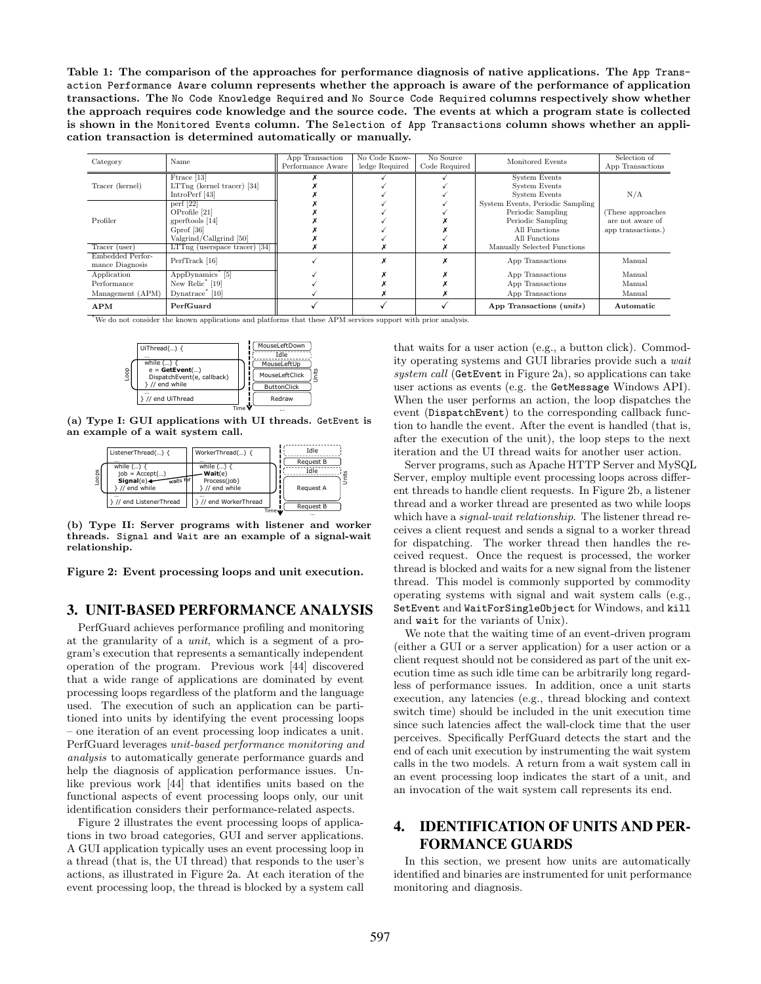<span id="page-2-0"></span>Table 1: The comparison of the approaches for performance diagnosis of native applications. The App Transaction Performance Aware column represents whether the approach is aware of the performance of application transactions. The No Code Knowledge Required and No Source Code Required columns respectively show whether the approach requires code knowledge and the source code. The events at which a program state is collected is shown in the Monitored Events column. The Selection of App Transactions column shows whether an application transaction is determined automatically or manually.

| Category         | Name                            | App Transaction   | No Code Know-  | No Source     | Monitored Events                  | Selection of       |
|------------------|---------------------------------|-------------------|----------------|---------------|-----------------------------------|--------------------|
|                  |                                 | Performance Aware | ledge Required | Code Required |                                   | App Transactions   |
|                  | $F \text{trace}$ [13]           |                   |                |               | <b>System Events</b>              |                    |
| Tracer (kernel)  | LTTng (kernel tracer) $[34]$    |                   |                |               | <b>System Events</b>              |                    |
|                  | IntroPerf [43]                  |                   |                |               | <b>System Events</b>              | N/A                |
|                  | $\operatorname{perf}$ [22]      |                   |                |               | System Events, Periodic Sampling  |                    |
|                  | OProfile [21]                   |                   |                |               | Periodic Sampling                 | These approaches   |
| Profiler         | gperftools $[14]$               |                   |                |               | Periodic Sampling                 | are not aware of   |
|                  | Gprof <sup>[36]</sup>           |                   |                |               | All Functions                     | app transactions.) |
|                  | Valgrind/Callgrind [50]         |                   |                |               | All Functions                     |                    |
| Tracer (user)    | LTTng (userspace tracer) $[34]$ |                   |                |               | Manually Selected Functions       |                    |
| Embedded Perfor- | PerfTrack [16]                  |                   |                |               | App Transactions                  | Manual             |
| mance Diagnosis  |                                 |                   |                |               |                                   |                    |
| Application      | AppDynamics <sup>*</sup> [5]    |                   |                |               | App Transactions                  | Manual             |
| Performance      | New $Relic$ <sup>*</sup> [19]   |                   |                |               | App Transactions                  | Manual             |
| Management (APM) | $Dynatrace^*$ [10]              |                   |                |               | App Transactions                  | Manual             |
| APM              | PerfGuard                       |                   |                |               | App Transactions ( <i>units</i> ) | Automatic          |

<span id="page-2-3"></span>\*We do not consider the known applications and platforms that these APM services support with prior analysis.



(a) Type I: GUI applications with UI threads. GetEvent is an example of a wait system call.

|      | ListenerThread() {                                                                            | WorkerThread() {                                              |               | Idle                           |   |
|------|-----------------------------------------------------------------------------------------------|---------------------------------------------------------------|---------------|--------------------------------|---|
| sdoo | <br>while $()$ {<br>$job = Accept()$<br>$Signal(e) \leftarrow$<br>waits for<br>} // end while | <br>while $()$ .<br>Wait(e)<br>Process(job)<br>} // end while |               | Request B<br>Idle<br>Request A | n |
|      | $\cdots$<br>} // end ListenerThread                                                           | $\cdots$<br>// end WorkerThread                               | Time <b>u</b> | Request B<br>$\cdots$          |   |

(b) Type II: Server programs with listener and worker threads. Signal and Wait are an example of a signal-wait relationship.

Figure 2: Event processing loops and unit execution.

#### <span id="page-2-1"></span>3. UNIT-BASED PERFORMANCE ANALYSIS

PerfGuard achieves performance profiling and monitoring at the granularity of a unit, which is a segment of a program's execution that represents a semantically independent operation of the program. Previous work [\[44\]](#page-11-5) discovered that a wide range of applications are dominated by event processing loops regardless of the platform and the language used. The execution of such an application can be partitioned into units by identifying the event processing loops – one iteration of an event processing loop indicates a unit. PerfGuard leverages unit-based performance monitoring and analysis to automatically generate performance guards and help the diagnosis of application performance issues. Unlike previous work [\[44\]](#page-11-5) that identifies units based on the functional aspects of event processing loops only, our unit identification considers their performance-related aspects.

Figure [2](#page-2-3) illustrates the event processing loops of applications in two broad categories, GUI and server applications. A GUI application typically uses an event processing loop in a thread (that is, the UI thread) that responds to the user's actions, as illustrated in Figure [2a.](#page-2-3) At each iteration of the event processing loop, the thread is blocked by a system call

that waits for a user action (e.g., a button click). Commodity operating systems and GUI libraries provide such a wait system call (GetEvent in Figure [2a\)](#page-2-3), so applications can take user actions as events (e.g. the GetMessage Windows API). When the user performs an action, the loop dispatches the event (DispatchEvent) to the corresponding callback function to handle the event. After the event is handled (that is, after the execution of the unit), the loop steps to the next iteration and the UI thread waits for another user action.

Server programs, such as Apache HTTP Server and MySQL Server, employ multiple event processing loops across different threads to handle client requests. In Figure [2b,](#page-2-3) a listener thread and a worker thread are presented as two while loops which have a *signal-wait relationship*. The listener thread receives a client request and sends a signal to a worker thread for dispatching. The worker thread then handles the received request. Once the request is processed, the worker thread is blocked and waits for a new signal from the listener thread. This model is commonly supported by commodity operating systems with signal and wait system calls (e.g., SetEvent and WaitForSingleObject for Windows, and kill and wait for the variants of Unix).

We note that the waiting time of an event-driven program (either a GUI or a server application) for a user action or a client request should not be considered as part of the unit execution time as such idle time can be arbitrarily long regardless of performance issues. In addition, once a unit starts execution, any latencies (e.g., thread blocking and context switch time) should be included in the unit execution time since such latencies affect the wall-clock time that the user perceives. Specifically PerfGuard detects the start and the end of each unit execution by instrumenting the wait system calls in the two models. A return from a wait system call in an event processing loop indicates the start of a unit, and an invocation of the wait system call represents its end.

# <span id="page-2-2"></span>4. IDENTIFICATION OF UNITS AND PER-FORMANCE GUARDS

In this section, we present how units are automatically identified and binaries are instrumented for unit performance monitoring and diagnosis.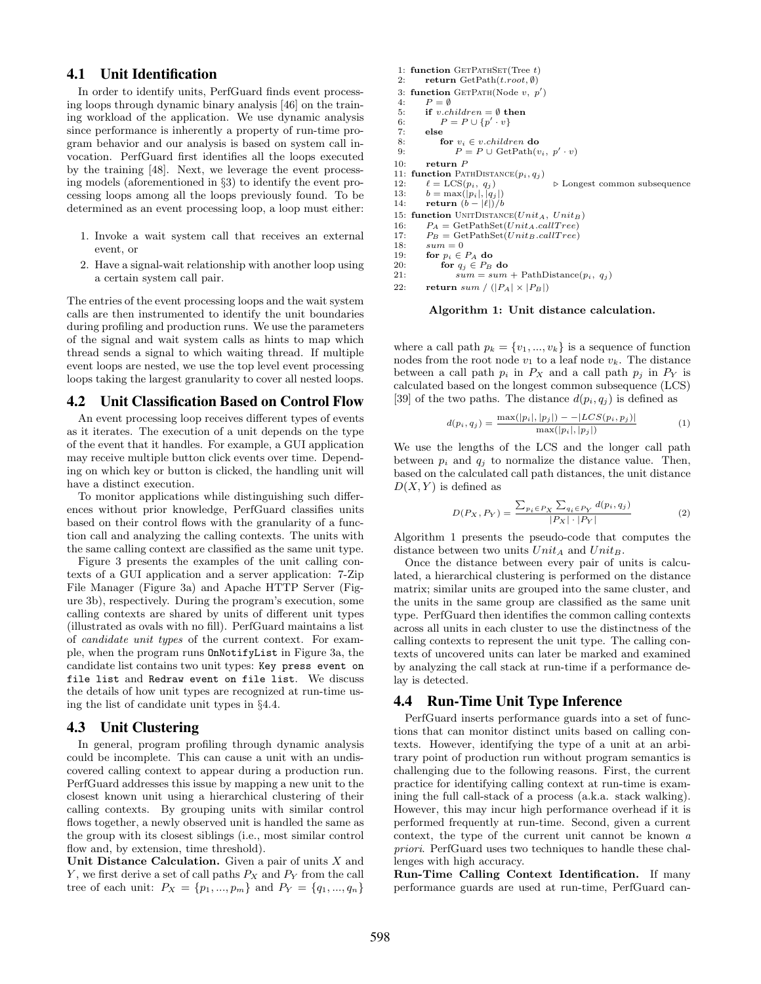#### 4.1 Unit Identification

In order to identify units, PerfGuard finds event processing loops through dynamic binary analysis [\[46\]](#page-11-7) on the training workload of the application. We use dynamic analysis since performance is inherently a property of run-time program behavior and our analysis is based on system call invocation. PerfGuard first identifies all the loops executed by the training [\[48\]](#page-11-8). Next, we leverage the event processing models (aforementioned in §[3\)](#page-2-1) to identify the event processing loops among all the loops previously found. To be determined as an event processing loop, a loop must either:

- 1. Invoke a wait system call that receives an external event, or
- 2. Have a signal-wait relationship with another loop using a certain system call pair.

The entries of the event processing loops and the wait system calls are then instrumented to identify the unit boundaries during profiling and production runs. We use the parameters of the signal and wait system calls as hints to map which thread sends a signal to which waiting thread. If multiple event loops are nested, we use the top level event processing loops taking the largest granularity to cover all nested loops.

#### 4.2 Unit Classification Based on Control Flow

An event processing loop receives different types of events as it iterates. The execution of a unit depends on the type of the event that it handles. For example, a GUI application may receive multiple button click events over time. Depending on which key or button is clicked, the handling unit will have a distinct execution.

To monitor applications while distinguishing such differences without prior knowledge, PerfGuard classifies units based on their control flows with the granularity of a function call and analyzing the calling contexts. The units with the same calling context are classified as the same unit type.

Figure [3](#page-4-0) presents the examples of the unit calling contexts of a GUI application and a server application: 7-Zip File Manager (Figure [3a\)](#page-4-0) and Apache HTTP Server (Figure [3b\)](#page-4-0), respectively. During the program's execution, some calling contexts are shared by units of different unit types (illustrated as ovals with no fill). PerfGuard maintains a list of candidate unit types of the current context. For example, when the program runs OnNotifyList in Figure [3a,](#page-4-0) the candidate list contains two unit types: Key press event on file list and Redraw event on file list. We discuss the details of how unit types are recognized at run-time using the list of candidate unit types in §[4.4.](#page-3-0)

#### 4.3 Unit Clustering

In general, program profiling through dynamic analysis could be incomplete. This can cause a unit with an undiscovered calling context to appear during a production run. PerfGuard addresses this issue by mapping a new unit to the closest known unit using a hierarchical clustering of their calling contexts. By grouping units with similar control flows together, a newly observed unit is handled the same as the group with its closest siblings (i.e., most similar control flow and, by extension, time threshold).

Unit Distance Calculation. Given a pair of units  $X$  and  $Y$ , we first derive a set of call paths  $P_X$  and  $P_Y$  from the call tree of each unit:  $P_X = \{p_1, ..., p_m\}$  and  $P_Y = \{q_1, ..., q_n\}$ 

```
1: function GETPATHSET(Tree t)2: return \operatorname{GetPath}(t(root, \emptyset)3: function GETPATH(Node v, p')4: P = \emptyset5: if v.children = \emptyset then<br>6: P = P \cup \{p' \cdot v\}6: P = P \cup \{p' \cdot v\}7: else
 8: for v_i \in v.children do<br>9: P = P \cup \text{GetPath}(v)9: P = P \cup \text{GetPath}(v_i, p' \cdot v)10: return P11: function PATHDISTANCE(p_i, q_j)<br>12: \ell = \text{LCS}(p_i, q_j)\triangleright Longest common subsequence
13: b = \max(|p_i|, |q_j|)<br>14: return (b - |\ell|)/b15: function UNITDISTANCE(Unit_A, Unit_B)<br>16: P_A = GetPathSet(Unit_A. callTree)P_A = \text{GetPathSet}(Unit_A, callTree)17: P_B = \text{GetPathSet}(Unit_B.callTree)<br>18: sum = 0sum=\sqrt{0}19: for p_i \in P_A do<br>20: for a_i \in P_B20: for q_j \in P_B do<br>21: sum = sumsum = sum + \text{PathDistance}(p_i, q_j)
```

```
22: return sum / (|P_A| \times |P_B|)
```
#### Algorithm 1: Unit distance calculation.

where a call path  $p_k = \{v_1, ..., v_k\}$  is a sequence of function nodes from the root node  $v_1$  to a leaf node  $v_k$ . The distance between a call path  $p_i$  in  $P_X$  and a call path  $p_j$  in  $P_Y$  is calculated based on the longest common subsequence (LCS) [\[39\]](#page-11-9) of the two paths. The distance  $d(p_i, q_j)$  is defined as

$$
d(p_i, q_j) = \frac{\max(|p_i|, |p_j|) - |LCS(p_i, p_j)|}{\max(|p_i|, |p_j|)}
$$
(1)

We use the lengths of the LCS and the longer call path between  $p_i$  and  $q_j$  to normalize the distance value. Then, based on the calculated call path distances, the unit distance  $D(X, Y)$  is defined as

$$
D(P_X, P_Y) = \frac{\sum_{p_i \in P_X} \sum_{q_i \in P_Y} d(p_i, q_j)}{|P_X| \cdot |P_Y|} \tag{2}
$$

Algorithm [1](#page-3-1) presents the pseudo-code that computes the distance between two units  $Unit_A$  and  $Unit_B$ .

Once the distance between every pair of units is calculated, a hierarchical clustering is performed on the distance matrix; similar units are grouped into the same cluster, and the units in the same group are classified as the same unit type. PerfGuard then identifies the common calling contexts across all units in each cluster to use the distinctness of the calling contexts to represent the unit type. The calling contexts of uncovered units can later be marked and examined by analyzing the call stack at run-time if a performance delay is detected.

#### <span id="page-3-0"></span>4.4 Run-Time Unit Type Inference

PerfGuard inserts performance guards into a set of functions that can monitor distinct units based on calling contexts. However, identifying the type of a unit at an arbitrary point of production run without program semantics is challenging due to the following reasons. First, the current practice for identifying calling context at run-time is examining the full call-stack of a process (a.k.a. stack walking). However, this may incur high performance overhead if it is performed frequently at run-time. Second, given a current context, the type of the current unit cannot be known a priori. PerfGuard uses two techniques to handle these challenges with high accuracy.

Run-Time Calling Context Identification. If many performance guards are used at run-time, PerfGuard can-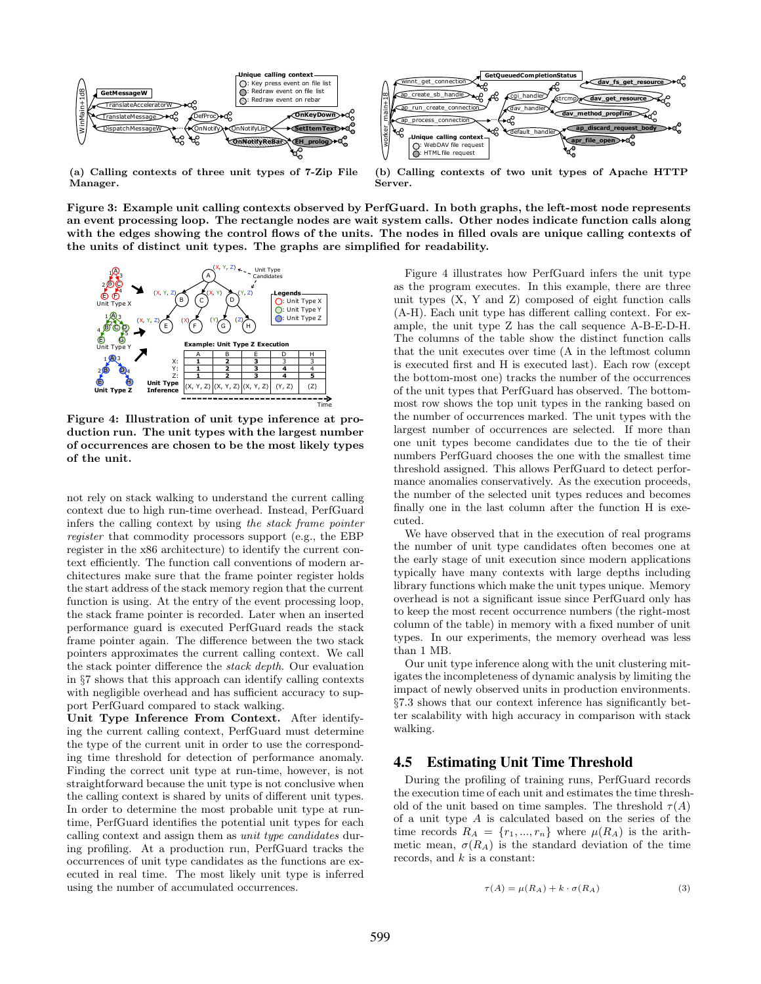<span id="page-4-0"></span>

worker\_main+18 **r** file\_open WebDAV file request C: WebDAV file request (b) Calling contexts of two unit types of Apache HTTP

**default\_hand** 

winnt\_get\_connection **dav\_fs\_get\_resource GetQueuedCompletionStatus**

> **Cdav**\_ha  $\epsilon$ cgi\_handle

-၀

…

**dav\_method\_propfind**

strcmp **dav\_get\_resource**

(a) Calling contexts of three unit types of 7-Zip File Manager.

Figure 3: Example unit calling contexts observed by PerfGuard. In both graphs, the left-most node represents an event processing loop. The rectangle nodes are wait system calls. Other nodes indicate function calls along with the edges showing the control flows of the units. The nodes in filled ovals are unique calling contexts of the units of distinct unit types. The graphs are simplified for readability.

Server.

ap\_process\_connection

ap\_run\_create\_connection ap\_create\_sb\_handle

**Unique calling context**

<span id="page-4-1"></span>

Figure 4: Illustration of unit type inference at production run. The unit types with the largest number of occurrences are chosen to be the most likely types of the unit.

not rely on stack walking to understand the current calling context due to high run-time overhead. Instead, PerfGuard infers the calling context by using the stack frame pointer register that commodity processors support (e.g., the EBP register in the x86 architecture) to identify the current context efficiently. The function call conventions of modern architectures make sure that the frame pointer register holds the start address of the stack memory region that the current function is using. At the entry of the event processing loop, the stack frame pointer is recorded. Later when an inserted performance guard is executed PerfGuard reads the stack frame pointer again. The difference between the two stack pointers approximates the current calling context. We call the stack pointer difference the stack depth. Our evaluation in §[7](#page-6-0) shows that this approach can identify calling contexts with negligible overhead and has sufficient accuracy to support PerfGuard compared to stack walking.

Unit Type Inference From Context. After identifying the current calling context, PerfGuard must determine the type of the current unit in order to use the corresponding time threshold for detection of performance anomaly. Finding the correct unit type at run-time, however, is not straightforward because the unit type is not conclusive when the calling context is shared by units of different unit types. In order to determine the most probable unit type at runtime, PerfGuard identifies the potential unit types for each calling context and assign them as unit type candidates during profiling. At a production run, PerfGuard tracks the occurrences of unit type candidates as the functions are executed in real time. The most likely unit type is inferred using the number of accumulated occurrences.

Figure [4](#page-4-1) illustrates how PerfGuard infers the unit type as the program executes. In this example, there are three unit types (X, Y and Z) composed of eight function calls (A-H). Each unit type has different calling context. For example, the unit type Z has the call sequence A-B-E-D-H. The columns of the table show the distinct function calls that the unit executes over time (A in the leftmost column is executed first and H is executed last). Each row (except the bottom-most one) tracks the number of the occurrences of the unit types that PerfGuard has observed. The bottommost row shows the top unit types in the ranking based on the number of occurrences marked. The unit types with the largest number of occurrences are selected. If more than one unit types become candidates due to the tie of their numbers PerfGuard chooses the one with the smallest time threshold assigned. This allows PerfGuard to detect performance anomalies conservatively. As the execution proceeds, the number of the selected unit types reduces and becomes finally one in the last column after the function H is executed.

We have observed that in the execution of real programs the number of unit type candidates often becomes one at the early stage of unit execution since modern applications typically have many contexts with large depths including library functions which make the unit types unique. Memory overhead is not a significant issue since PerfGuard only has to keep the most recent occurrence numbers (the right-most column of the table) in memory with a fixed number of unit types. In our experiments, the memory overhead was less than 1 MB.

Our unit type inference along with the unit clustering mitigates the incompleteness of dynamic analysis by limiting the impact of newly observed units in production environments. §[7.3](#page-7-0) shows that our context inference has significantly better scalability with high accuracy in comparison with stack walking.

#### 4.5 Estimating Unit Time Threshold

During the profiling of training runs, PerfGuard records the execution time of each unit and estimates the time threshold of the unit based on time samples. The threshold  $\tau(A)$ of a unit type A is calculated based on the series of the time records  $R_A = \{r_1, ..., r_n\}$  where  $\mu(R_A)$  is the arithmetic mean,  $\sigma(R_A)$  is the standard deviation of the time records, and  $k$  is a constant:

$$
\tau(A) = \mu(R_A) + k \cdot \sigma(R_A) \tag{3}
$$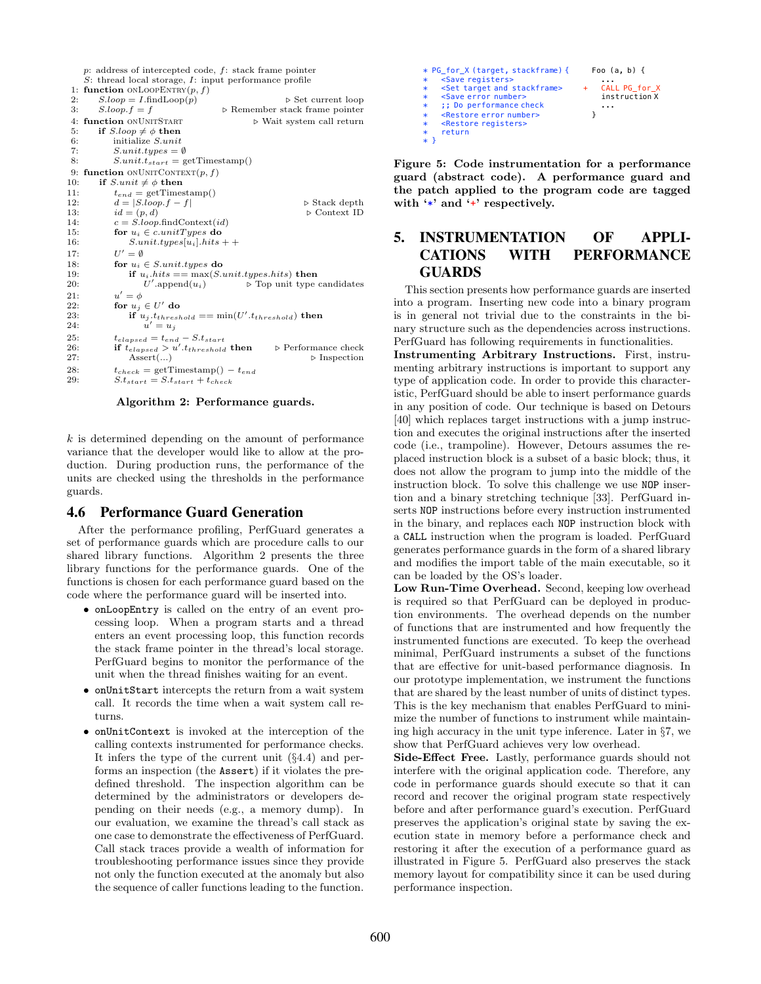<span id="page-5-1"></span>

|     | p: address of intercepted code, $f$ : stack frame pointer<br>$S$ : thread local storage, $I$ : input performance profile |                                                      |
|-----|--------------------------------------------------------------------------------------------------------------------------|------------------------------------------------------|
|     | 1: function $ONLoopENTRY(p, f)$                                                                                          |                                                      |
| 2:  | $S-loop = I$ .findLoop(p)                                                                                                | $\triangleright$ Set current loop                    |
| 3:  | $S-loop.f = f$                                                                                                           | $\triangleright$ Remember stack frame pointer        |
| 4:  | function ONUNITSTART                                                                                                     | $\triangleright$ Wait system call return             |
| 5:  | if $S-loop \neq \phi$ then                                                                                               |                                                      |
| 6:  | initialize $S. unit$                                                                                                     |                                                      |
| 7:  | $S. unit. types = \emptyset$                                                                                             |                                                      |
| 8:  | $S. unit.t_{start} = getTimestamp()$                                                                                     |                                                      |
| 9:  | <b>function</b> ONUNITCONTEXT $(p, f)$                                                                                   |                                                      |
| 10: | if $S.unit \neq \phi$ then                                                                                               |                                                      |
| 11: | $t_{end}$ = getTimestamp()                                                                                               |                                                      |
| 12: | $d =  S.logp.f - f $                                                                                                     | $\triangleright$ Stack depth                         |
| 13: | $id = (p, d)$                                                                                                            | $\triangleright$ Context ID                          |
| 14: | $c = S.logp.findContext(id)$                                                                                             |                                                      |
| 15: | for $u_i \in c$ unit Types do                                                                                            |                                                      |
| 16: | $S. unit. types[u_i].hits + +$                                                                                           |                                                      |
| 17: | $U' = \emptyset$                                                                                                         |                                                      |
| 18: | for $u_i \in S$ unit types do                                                                                            |                                                      |
| 19: |                                                                                                                          | if $u_i. hits == max(S. unit. types. hits)$ then     |
| 20: | U' append $(u_i)$                                                                                                        | $\triangleright$ Top unit type candidates            |
| 21: | $u' = \phi$                                                                                                              |                                                      |
| 22: | for $u_j \in U'$ do                                                                                                      |                                                      |
| 23: |                                                                                                                          | if $u_j.t_{threshold} == min(U'.t_{threshold})$ then |
| 24: | $u' = u_i$                                                                                                               |                                                      |
| 25: | $t_{elapped} = t_{end} - S.t_{start}$                                                                                    |                                                      |
| 26: | if $t_{elased} > u' . t_{threshold}$ then                                                                                | $\triangleright$ Performance check                   |
| 27: | $\text{assert}(\dots)$                                                                                                   | $\triangleright$ Inspection                          |
| 28: | $t_{check} = \text{getTimestamp}() - t_{end}$                                                                            |                                                      |
| 29: | $S.t_{start} = S.t_{start} + t_{check}$                                                                                  |                                                      |
|     |                                                                                                                          |                                                      |

Algorithm 2: Performance guards.

 $k$  is determined depending on the amount of performance variance that the developer would like to allow at the production. During production runs, the performance of the units are checked using the thresholds in the performance guards.

#### 4.6 Performance Guard Generation

After the performance profiling, PerfGuard generates a set of performance guards which are procedure calls to our shared library functions. Algorithm [2](#page-5-1) presents the three library functions for the performance guards. One of the functions is chosen for each performance guard based on the code where the performance guard will be inserted into.

- onLoopEntry is called on the entry of an event processing loop. When a program starts and a thread enters an event processing loop, this function records the stack frame pointer in the thread's local storage. PerfGuard begins to monitor the performance of the unit when the thread finishes waiting for an event.
- onUnitStart intercepts the return from a wait system call. It records the time when a wait system call returns.
- onUnitContext is invoked at the interception of the calling contexts instrumented for performance checks. It infers the type of the current unit (§[4.4\)](#page-3-0) and performs an inspection (the Assert) if it violates the predefined threshold. The inspection algorithm can be determined by the administrators or developers depending on their needs (e.g., a memory dump). In our evaluation, we examine the thread's call stack as one case to demonstrate the effectiveness of PerfGuard. Call stack traces provide a wealth of information for troubleshooting performance issues since they provide not only the function executed at the anomaly but also the sequence of caller functions leading to the function.

<span id="page-5-2"></span>

Figure 5: Code instrumentation for a performance guard (abstract code). A performance guard and the patch applied to the program code are tagged with '\*' and '+' respectively.

# <span id="page-5-0"></span>5. INSTRUMENTATION OF APPLI-CATIONS WITH PERFORMANCE GUARDS

This section presents how performance guards are inserted into a program. Inserting new code into a binary program is in general not trivial due to the constraints in the binary structure such as the dependencies across instructions. PerfGuard has following requirements in functionalities.

Instrumenting Arbitrary Instructions. First, instrumenting arbitrary instructions is important to support any type of application code. In order to provide this characteristic, PerfGuard should be able to insert performance guards in any position of code. Our technique is based on Detours [\[40\]](#page-11-10) which replaces target instructions with a jump instruction and executes the original instructions after the inserted code (i.e., trampoline). However, Detours assumes the replaced instruction block is a subset of a basic block; thus, it does not allow the program to jump into the middle of the instruction block. To solve this challenge we use NOP insertion and a binary stretching technique [\[33\]](#page-10-13). PerfGuard inserts NOP instructions before every instruction instrumented in the binary, and replaces each NOP instruction block with a CALL instruction when the program is loaded. PerfGuard generates performance guards in the form of a shared library and modifies the import table of the main executable, so it can be loaded by the OS's loader.

Low Run-Time Overhead. Second, keeping low overhead is required so that PerfGuard can be deployed in production environments. The overhead depends on the number of functions that are instrumented and how frequently the instrumented functions are executed. To keep the overhead minimal, PerfGuard instruments a subset of the functions that are effective for unit-based performance diagnosis. In our prototype implementation, we instrument the functions that are shared by the least number of units of distinct types. This is the key mechanism that enables PerfGuard to minimize the number of functions to instrument while maintaining high accuracy in the unit type inference. Later in §[7,](#page-6-0) we show that PerfGuard achieves very low overhead.

Side-Effect Free. Lastly, performance guards should not interfere with the original application code. Therefore, any code in performance guards should execute so that it can record and recover the original program state respectively before and after performance guard's execution. PerfGuard preserves the application's original state by saving the execution state in memory before a performance check and restoring it after the execution of a performance guard as illustrated in Figure [5.](#page-5-2) PerfGuard also preserves the stack memory layout for compatibility since it can be used during performance inspection.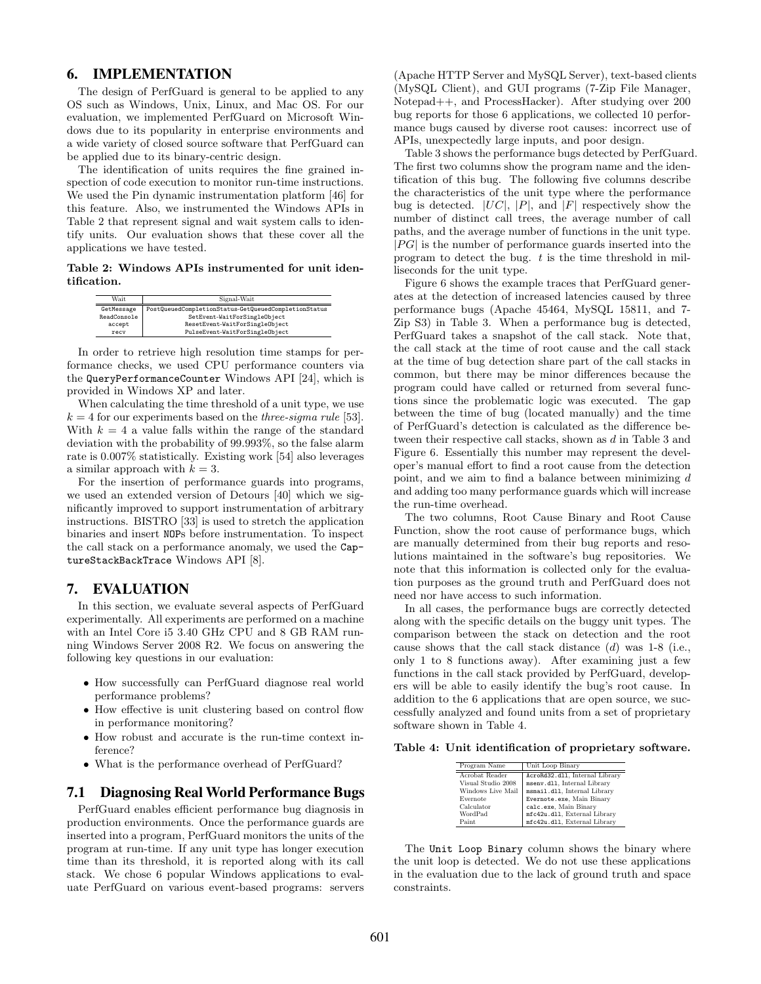#### <span id="page-6-1"></span>6. IMPLEMENTATION

The design of PerfGuard is general to be applied to any OS such as Windows, Unix, Linux, and Mac OS. For our evaluation, we implemented PerfGuard on Microsoft Windows due to its popularity in enterprise environments and a wide variety of closed source software that PerfGuard can be applied due to its binary-centric design.

The identification of units requires the fine grained inspection of code execution to monitor run-time instructions. We used the Pin dynamic instrumentation platform [\[46\]](#page-11-7) for this feature. Also, we instrumented the Windows APIs in Table [2](#page-6-2) that represent signal and wait system calls to identify units. Our evaluation shows that these cover all the applications we have tested.

<span id="page-6-2"></span>Table 2: Windows APIs instrumented for unit identification.

| Wait.       | Signal-Wait                                          |
|-------------|------------------------------------------------------|
| GetMessage  | PostQueuedCompletionStatus-GetQueuedCompletionStatus |
| ReadConsole | SetEvent-WaitForSingleObject                         |
| accept      | ResetEvent-WaitForSingleObject                       |
| recy        | PulseEvent-WaitForSingleObject                       |

In order to retrieve high resolution time stamps for performance checks, we used CPU performance counters via the QueryPerformanceCounter Windows API [\[24\]](#page-10-14), which is provided in Windows XP and later.

When calculating the time threshold of a unit type, we use  $k = 4$  for our experiments based on the *three-sigma rule* [\[53\]](#page-11-11). With  $k = 4$  a value falls within the range of the standard deviation with the probability of 99.993%, so the false alarm rate is 0.007% statistically. Existing work [\[54\]](#page-11-4) also leverages a similar approach with  $k = 3$ .

For the insertion of performance guards into programs, we used an extended version of Detours [\[40\]](#page-11-10) which we significantly improved to support instrumentation of arbitrary instructions. BISTRO [\[33\]](#page-10-13) is used to stretch the application binaries and insert NOPs before instrumentation. To inspect the call stack on a performance anomaly, we used the CaptureStackBackTrace Windows API [\[8\]](#page-10-15).

### <span id="page-6-0"></span>7. EVALUATION

In this section, we evaluate several aspects of PerfGuard experimentally. All experiments are performed on a machine with an Intel Core i5 3.40 GHz CPU and 8 GB RAM running Windows Server 2008 R2. We focus on answering the following key questions in our evaluation:

- How successfully can PerfGuard diagnose real world performance problems?
- How effective is unit clustering based on control flow in performance monitoring?
- How robust and accurate is the run-time context inference?
- What is the performance overhead of PerfGuard?

#### 7.1 Diagnosing Real World Performance Bugs

PerfGuard enables efficient performance bug diagnosis in production environments. Once the performance guards are inserted into a program, PerfGuard monitors the units of the program at run-time. If any unit type has longer execution time than its threshold, it is reported along with its call stack. We chose 6 popular Windows applications to evaluate PerfGuard on various event-based programs: servers

(Apache HTTP Server and MySQL Server), text-based clients (MySQL Client), and GUI programs (7-Zip File Manager, Notepad++, and ProcessHacker). After studying over 200 bug reports for those 6 applications, we collected 10 performance bugs caused by diverse root causes: incorrect use of APIs, unexpectedly large inputs, and poor design.

Table [3](#page-7-1) shows the performance bugs detected by PerfGuard. The first two columns show the program name and the identification of this bug. The following five columns describe the characteristics of the unit type where the performance bug is detected.  $|UC|, |P|$ , and  $|F|$  respectively show the number of distinct call trees, the average number of call paths, and the average number of functions in the unit type.  $|PG|$  is the number of performance guards inserted into the program to detect the bug.  $t$  is the time threshold in milliseconds for the unit type.

Figure [6](#page-7-2) shows the example traces that PerfGuard generates at the detection of increased latencies caused by three performance bugs (Apache 45464, MySQL 15811, and 7- Zip S3) in Table [3.](#page-7-1) When a performance bug is detected, PerfGuard takes a snapshot of the call stack. Note that, the call stack at the time of root cause and the call stack at the time of bug detection share part of the call stacks in common, but there may be minor differences because the program could have called or returned from several functions since the problematic logic was executed. The gap between the time of bug (located manually) and the time of PerfGuard's detection is calculated as the difference between their respective call stacks, shown as d in Table [3](#page-7-1) and Figure [6.](#page-7-2) Essentially this number may represent the developer's manual effort to find a root cause from the detection point, and we aim to find a balance between minimizing d and adding too many performance guards which will increase the run-time overhead.

The two columns, Root Cause Binary and Root Cause Function, show the root cause of performance bugs, which are manually determined from their bug reports and resolutions maintained in the software's bug repositories. We note that this information is collected only for the evaluation purposes as the ground truth and PerfGuard does not need nor have access to such information.

In all cases, the performance bugs are correctly detected along with the specific details on the buggy unit types. The comparison between the stack on detection and the root cause shows that the call stack distance  $(d)$  was 1-8 (i.e., only 1 to 8 functions away). After examining just a few functions in the call stack provided by PerfGuard, developers will be able to easily identify the bug's root cause. In addition to the 6 applications that are open source, we successfully analyzed and found units from a set of proprietary software shown in Table [4.](#page-6-3)

<span id="page-6-3"></span>Table 4: Unit identification of proprietary software.

| Program Name       | Unit Loop Binary               |
|--------------------|--------------------------------|
| Acrobat Reader     | AcroRd32.d11, Internal Library |
| Visual Studio 2008 | msenv.dl1, Internal Library    |
| Windows Live Mail  | msmail.dll, Internal Library   |
| Evernote           | Evernote.exe, Main Binary      |
| Calculator         | calc.exe, Main Binary          |
| WordPad            | mfc42u.dl1, External Library   |
| Paint              | mfc42u.d11, External Library   |
|                    |                                |

The Unit Loop Binary column shows the binary where the unit loop is detected. We do not use these applications in the evaluation due to the lack of ground truth and space constraints.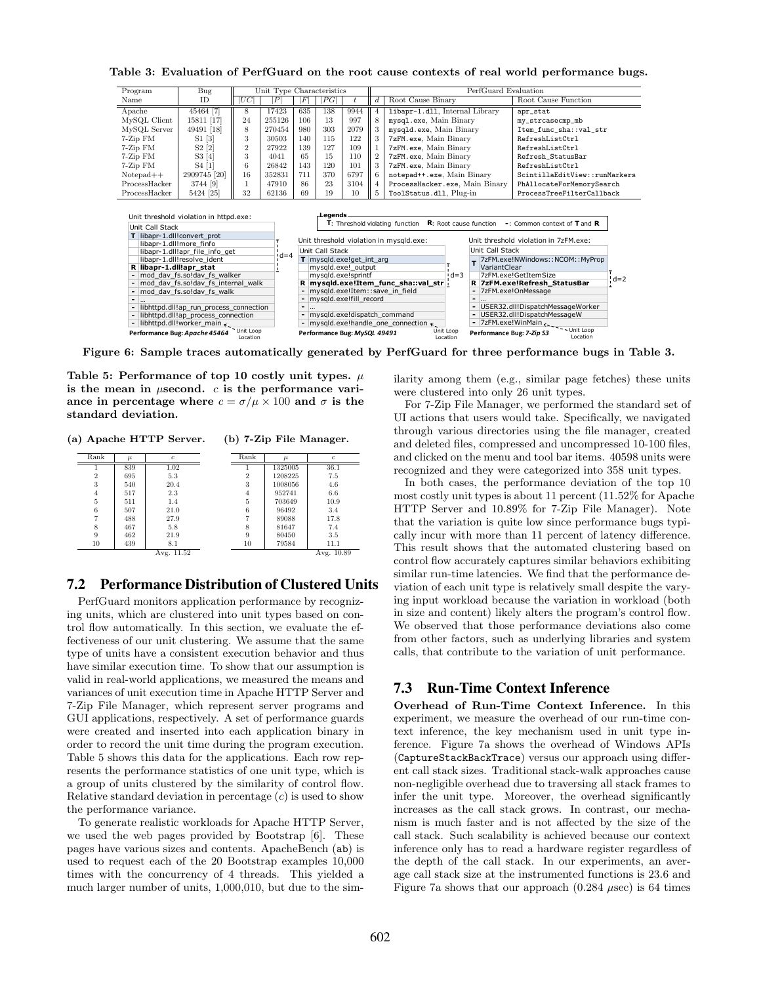<span id="page-7-1"></span>Table 3: Evaluation of PerfGuard on the root cause contexts of real world performance bugs.

<span id="page-7-2"></span>

| Program                                           | Bug                                                                                                                                                                                                                                                                                                                                                                                                                                                                                                                                             |                |        | Unit Type Characteristics                                                                                                                                                                                                                                                                                                                                                                                                                                                                                                                                        |                                                                     |      | PerfGuard Evaluation           |                                |                        |                          |                               |  |
|---------------------------------------------------|-------------------------------------------------------------------------------------------------------------------------------------------------------------------------------------------------------------------------------------------------------------------------------------------------------------------------------------------------------------------------------------------------------------------------------------------------------------------------------------------------------------------------------------------------|----------------|--------|------------------------------------------------------------------------------------------------------------------------------------------------------------------------------------------------------------------------------------------------------------------------------------------------------------------------------------------------------------------------------------------------------------------------------------------------------------------------------------------------------------------------------------------------------------------|---------------------------------------------------------------------|------|--------------------------------|--------------------------------|------------------------|--------------------------|-------------------------------|--|
| Name                                              | ID                                                                                                                                                                                                                                                                                                                                                                                                                                                                                                                                              | UC             | P      | ١F                                                                                                                                                                                                                                                                                                                                                                                                                                                                                                                                                               | PG                                                                  |      | Root Cause Binary              |                                |                        | Root Cause Function      |                               |  |
| Apache                                            | 45464 [7]                                                                                                                                                                                                                                                                                                                                                                                                                                                                                                                                       | 8              | 17423  | 635                                                                                                                                                                                                                                                                                                                                                                                                                                                                                                                                                              | 138                                                                 | 9944 | libapr-1.dll, Internal Library |                                |                        |                          | apr_stat                      |  |
| MySQL Client                                      | 15811 [17]                                                                                                                                                                                                                                                                                                                                                                                                                                                                                                                                      | 24             | 255126 | 106                                                                                                                                                                                                                                                                                                                                                                                                                                                                                                                                                              | 13                                                                  | 997  | 8                              | mysql.exe, Main Binary         |                        |                          | my_strcasecmp_mb              |  |
| MySQL Server                                      | 49491 [18]                                                                                                                                                                                                                                                                                                                                                                                                                                                                                                                                      | 8              | 270454 | 980                                                                                                                                                                                                                                                                                                                                                                                                                                                                                                                                                              | 303                                                                 | 2079 |                                | mysqld.exe, Main Binary        | Item_func_sha::val_str |                          |                               |  |
| 7-Zip FM                                          | $S1$ [3]                                                                                                                                                                                                                                                                                                                                                                                                                                                                                                                                        | 3              | 30503  | 140                                                                                                                                                                                                                                                                                                                                                                                                                                                                                                                                                              | 115                                                                 | 122  | 3                              | 7zFM.exe, Main Binary          |                        |                          | RefreshListCtrl               |  |
| 7-Zip FM                                          | $S2$ [2]                                                                                                                                                                                                                                                                                                                                                                                                                                                                                                                                        | $\overline{2}$ | 27922  | 139                                                                                                                                                                                                                                                                                                                                                                                                                                                                                                                                                              | 127                                                                 | 109  |                                | 7zFM.exe, Main Binary          |                        |                          | RefreshListCtrl               |  |
| 7-Zip FM                                          | S3 [4]                                                                                                                                                                                                                                                                                                                                                                                                                                                                                                                                          | 3              | 4041   | 65                                                                                                                                                                                                                                                                                                                                                                                                                                                                                                                                                               | 15                                                                  | 110  |                                | 7zFM.exe, Main Binary          |                        |                          | Refresh_StatusBar             |  |
| 7-Zip FM                                          | S4[1]                                                                                                                                                                                                                                                                                                                                                                                                                                                                                                                                           | 6              | 26842  | 143                                                                                                                                                                                                                                                                                                                                                                                                                                                                                                                                                              | 120                                                                 | 101  | 3                              | 7zFM.exe, Main Binary          |                        |                          | RefreshListCtrl               |  |
| $Notepad++$                                       | 2909745 [20]                                                                                                                                                                                                                                                                                                                                                                                                                                                                                                                                    | 16             | 352831 | 711                                                                                                                                                                                                                                                                                                                                                                                                                                                                                                                                                              | 370                                                                 | 6797 |                                | notepad++.exe, Main Binary     |                        |                          | ScintillaEditView::runMarkers |  |
| ProcessHacker                                     | 3744 [9]                                                                                                                                                                                                                                                                                                                                                                                                                                                                                                                                        | 1              | 47910  | 86                                                                                                                                                                                                                                                                                                                                                                                                                                                                                                                                                               | 23                                                                  | 3104 |                                | ProcessHacker.exe, Main Binary |                        |                          | PhAllocateForMemorySearch     |  |
| ProcessHacker                                     | 5424 [25]                                                                                                                                                                                                                                                                                                                                                                                                                                                                                                                                       | 32             | 62136  | 69                                                                                                                                                                                                                                                                                                                                                                                                                                                                                                                                                               | ToolStatus.dll, Plug-in<br>19<br>10                                 |      |                                | ProcessTreeFilterCallback      |                        |                          |                               |  |
| R libapr-1.dll!apr_stat                           | -Legends<br>Unit threshold violation in httpd.exe:<br>T: Threshold violating function $\mathbf R$ : Root cause function $-$ : Common context of T and R<br>Unit Call Stack<br>T libapr-1.dll!convert prot<br>Unit threshold violation in 7zFM.exe:<br>Unit threshold violation in mysqld.exe:<br>libapr-1.dll!more finfo<br>Unit Call Stack<br>Unit Call Stack<br>libapr-1.dll!apr_file_info_get<br>$id = 4$<br>7zFM.exe!NWindows::NCOM::MyProp<br>libapr-1.dll!resolve ident<br>T mysqld.exe!get_int_arg<br>VariantClear<br>mysqld.exe! output |                |        |                                                                                                                                                                                                                                                                                                                                                                                                                                                                                                                                                                  |                                                                     |      |                                |                                |                        |                          |                               |  |
| mod dav fs.so!dav fs walker<br>mysald.exe!sprintf |                                                                                                                                                                                                                                                                                                                                                                                                                                                                                                                                                 |                |        |                                                                                                                                                                                                                                                                                                                                                                                                                                                                                                                                                                  | 7zFM.exe!GetItemSize<br>$-d=3$                                      |      |                                |                                |                        |                          |                               |  |
| mod dav fs.so!dav fs internal walk                |                                                                                                                                                                                                                                                                                                                                                                                                                                                                                                                                                 |                |        |                                                                                                                                                                                                                                                                                                                                                                                                                                                                                                                                                                  | R mysqld.exe!Item_func_sha::val_str<br>R 7zFM.exe!Refresh StatusBar |      |                                | $d=2$                          |                        |                          |                               |  |
| mod dav fs.so!dav fs walk                         |                                                                                                                                                                                                                                                                                                                                                                                                                                                                                                                                                 |                |        |                                                                                                                                                                                                                                                                                                                                                                                                                                                                                                                                                                  | mysqld.exe!Item::save in field<br>- 7zFM.exe!OnMessage              |      |                                |                                |                        |                          |                               |  |
| -                                                 |                                                                                                                                                                                                                                                                                                                                                                                                                                                                                                                                                 |                |        | mysqld.exe!fill record<br>$\blacksquare$                                                                                                                                                                                                                                                                                                                                                                                                                                                                                                                         |                                                                     |      |                                |                                |                        |                          |                               |  |
| - libhttpd.dll!ap_run_process_connection          |                                                                                                                                                                                                                                                                                                                                                                                                                                                                                                                                                 |                |        | - USER32.dll!DispatchMessageWorker<br>$\overline{\phantom{a}}$<br>                                                                                                                                                                                                                                                                                                                                                                                                                                                                                               |                                                                     |      |                                |                                |                        |                          |                               |  |
| libhttpd.dll!ap_process_connection                |                                                                                                                                                                                                                                                                                                                                                                                                                                                                                                                                                 |                |        | mysqld.exe!dispatch_command<br>- USER32.dll!DispatchMessageW<br>- $7zFM.exe!WinMain \leftarrow -\frac{1}{2zFM.e} \leftarrow -\frac{1}{2} \leftarrow -\frac{1}{2} \leftarrow -\frac{1}{2} \leftarrow -\frac{1}{2} \leftarrow -\frac{1}{2} \leftarrow -\frac{1}{2} \leftarrow -\frac{1}{2} \leftarrow -\frac{1}{2} \leftarrow -\frac{1}{2} \leftarrow -\frac{1}{2} \leftarrow -\frac{1}{2} \leftarrow -\frac{1}{2} \leftarrow -\frac{1}{2} \leftarrow -\frac{1}{2} \leftarrow -\frac{1}{2} \leftarrow -\frac{1}{2} \leftarrow -\frac{1}{2} \leftarrow -\frac{1}{2$ |                                                                     |      |                                |                                |                        |                          |                               |  |
|                                                   | - mysqld.exe!handle_one_connection<br>- libhttpd.dll!worker_main<br><b>Performance Rug: Angche 45464</b> Unit Loop<br>Derformance Rug: MuSOL 40401                                                                                                                                                                                                                                                                                                                                                                                              |                |        |                                                                                                                                                                                                                                                                                                                                                                                                                                                                                                                                                                  |                                                                     |      | Unit Loop                      |                                |                        | Performance Rug 7-Zin 53 |                               |  |

Figure 6: Sample traces automatically generated by PerfGuard for three performance bugs in Table [3.](#page-7-1)

<span id="page-7-3"></span>Table 5: Performance of top 10 costly unit types.  $\mu$ is the mean in  $\mu$ second. c is the performance variance in percentage where  $c = \frac{\sigma}{\mu} \times 100$  and  $\sigma$  is the standard deviation.

Location

(a) Apache HTTP Server. (b) 7-Zip File Manager.

**Performance Bug:** *Apache 45464*

| Rank           | $\mu$ | $\overline{c}$ | Rank           | $\mu$   | c          |
|----------------|-------|----------------|----------------|---------|------------|
|                | 839   | 1.02           |                | 1325005 | 36.1       |
| $\overline{2}$ | 695   | 5.3            | $\overline{2}$ | 1208225 | 7.5        |
| 3              | 540   | 20.4           | 3              | 1008056 | 4.6        |
| 4              | 517   | 2.3            | 4              | 952741  | 6.6        |
| 5              | 511   | 1.4            | 5              | 703649  | 10.9       |
| 6              | 507   | 21.0           | 6              | 96492   | 3.4        |
|                | 488   | 27.9           |                | 89088   | 17.8       |
| 8              | 467   | 5.8            | 8              | 81647   | 7.4        |
| 9              | 462   | 21.9           | 9              | 80450   | 3.5        |
| 10             | 439   | 8.1            | 10             | 79584   | 11.1       |
|                |       | Avg. 11.52     |                |         | Avg. 10.89 |

#### 7.2 Performance Distribution of Clustered Units

PerfGuard monitors application performance by recognizing units, which are clustered into unit types based on control flow automatically. In this section, we evaluate the effectiveness of our unit clustering. We assume that the same type of units have a consistent execution behavior and thus have similar execution time. To show that our assumption is valid in real-world applications, we measured the means and variances of unit execution time in Apache HTTP Server and 7-Zip File Manager, which represent server programs and GUI applications, respectively. A set of performance guards were created and inserted into each application binary in order to record the unit time during the program execution. Table [5](#page-7-3) shows this data for the applications. Each row represents the performance statistics of one unit type, which is a group of units clustered by the similarity of control flow. Relative standard deviation in percentage  $(c)$  is used to show the performance variance.

To generate realistic workloads for Apache HTTP Server, we used the web pages provided by Bootstrap [\[6\]](#page-10-26). These pages have various sizes and contents. ApacheBench (ab) is used to request each of the 20 Bootstrap examples 10,000 times with the concurrency of 4 threads. This yielded a much larger number of units, 1,000,010, but due to the similarity among them (e.g., similar page fetches) these units were clustered into only 26 unit types.

- Unit Lo Location

**Performance Bug:** *7-Zip S3*

Unit Loop Location

For 7-Zip File Manager, we performed the standard set of UI actions that users would take. Specifically, we navigated through various directories using the file manager, created and deleted files, compressed and uncompressed 10-100 files, and clicked on the menu and tool bar items. 40598 units were recognized and they were categorized into 358 unit types.

In both cases, the performance deviation of the top 10 most costly unit types is about 11 percent (11.52% for Apache HTTP Server and 10.89% for 7-Zip File Manager). Note that the variation is quite low since performance bugs typically incur with more than 11 percent of latency difference. This result shows that the automated clustering based on control flow accurately captures similar behaviors exhibiting similar run-time latencies. We find that the performance deviation of each unit type is relatively small despite the varying input workload because the variation in workload (both in size and content) likely alters the program's control flow. We observed that those performance deviations also come from other factors, such as underlying libraries and system calls, that contribute to the variation of unit performance.

#### <span id="page-7-0"></span>7.3 Run-Time Context Inference

Overhead of Run-Time Context Inference. In this experiment, we measure the overhead of our run-time context inference, the key mechanism used in unit type inference. Figure [7a](#page-8-1) shows the overhead of Windows APIs (CaptureStackBackTrace) versus our approach using different call stack sizes. Traditional stack-walk approaches cause non-negligible overhead due to traversing all stack frames to infer the unit type. Moreover, the overhead significantly increases as the call stack grows. In contrast, our mechanism is much faster and is not affected by the size of the call stack. Such scalability is achieved because our context inference only has to read a hardware register regardless of the depth of the call stack. In our experiments, an average call stack size at the instrumented functions is 23.6 and Figure [7a](#page-8-1) shows that our approach  $(0.284 \mu \text{sec})$  is 64 times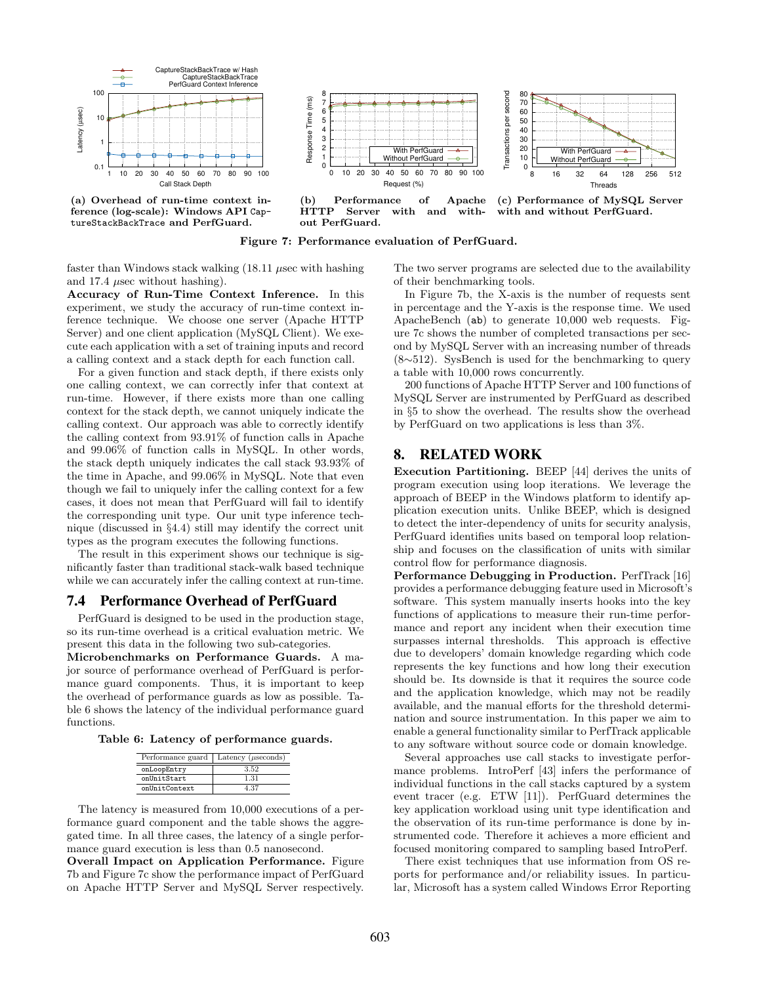<span id="page-8-1"></span>

ference (log-scale): Windows API CaptureStackBackTrace and PerfGuard.

(b) Performance of Apache<br>HTTP Server with and with-HTTP Server with out PerfGuard. with and without PerfGuard.

Figure 7: Performance evaluation of PerfGuard.

faster than Windows stack walking  $(18.11 \mu \text{sec with hashing})$ and  $17.4$   $\mu$ sec without hashing).

Accuracy of Run-Time Context Inference. In this experiment, we study the accuracy of run-time context inference technique. We choose one server (Apache HTTP Server) and one client application (MySQL Client). We execute each application with a set of training inputs and record a calling context and a stack depth for each function call.

For a given function and stack depth, if there exists only one calling context, we can correctly infer that context at run-time. However, if there exists more than one calling context for the stack depth, we cannot uniquely indicate the calling context. Our approach was able to correctly identify the calling context from 93.91% of function calls in Apache and 99.06% of function calls in MySQL. In other words, the stack depth uniquely indicates the call stack 93.93% of the time in Apache, and 99.06% in MySQL. Note that even though we fail to uniquely infer the calling context for a few cases, it does not mean that PerfGuard will fail to identify the corresponding unit type. Our unit type inference technique (discussed in §[4.4\)](#page-3-0) still may identify the correct unit types as the program executes the following functions.

The result in this experiment shows our technique is significantly faster than traditional stack-walk based technique while we can accurately infer the calling context at run-time.

#### 7.4 Performance Overhead of PerfGuard

PerfGuard is designed to be used in the production stage, so its run-time overhead is a critical evaluation metric. We present this data in the following two sub-categories.

Microbenchmarks on Performance Guards. A major source of performance overhead of PerfGuard is performance guard components. Thus, it is important to keep the overhead of performance guards as low as possible. Table [6](#page-8-2) shows the latency of the individual performance guard functions.

<span id="page-8-2"></span>Table 6: Latency of performance guards.

|               | Performance guard   Latency ( $\mu$ seconds) |
|---------------|----------------------------------------------|
| onLoopEntry   | 3.52                                         |
| onUnitStart   | 1.31                                         |
| onUnitContext | 437                                          |

The latency is measured from 10,000 executions of a performance guard component and the table shows the aggregated time. In all three cases, the latency of a single performance guard execution is less than 0.5 nanosecond.

Overall Impact on Application Performance. Figure [7b](#page-8-1) and Figure [7c](#page-8-1) show the performance impact of PerfGuard on Apache HTTP Server and MySQL Server respectively. The two server programs are selected due to the availability of their benchmarking tools.

In Figure [7b,](#page-8-1) the X-axis is the number of requests sent in percentage and the Y-axis is the response time. We used ApacheBench (ab) to generate 10,000 web requests. Figure [7c](#page-8-1) shows the number of completed transactions per second by MySQL Server with an increasing number of threads (8∼512). SysBench is used for the benchmarking to query a table with 10,000 rows concurrently.

200 functions of Apache HTTP Server and 100 functions of MySQL Server are instrumented by PerfGuard as described in §[5](#page-5-0) to show the overhead. The results show the overhead by PerfGuard on two applications is less than 3%.

#### <span id="page-8-0"></span>8. RELATED WORK

Execution Partitioning. BEEP [\[44\]](#page-11-5) derives the units of program execution using loop iterations. We leverage the approach of BEEP in the Windows platform to identify application execution units. Unlike BEEP, which is designed to detect the inter-dependency of units for security analysis, PerfGuard identifies units based on temporal loop relationship and focuses on the classification of units with similar control flow for performance diagnosis.

Performance Debugging in Production. PerfTrack [\[16\]](#page-10-9) provides a performance debugging feature used in Microsoft's software. This system manually inserts hooks into the key functions of applications to measure their run-time performance and report any incident when their execution time surpasses internal thresholds. This approach is effective due to developers' domain knowledge regarding which code represents the key functions and how long their execution should be. Its downside is that it requires the source code and the application knowledge, which may not be readily available, and the manual efforts for the threshold determination and source instrumentation. In this paper we aim to enable a general functionality similar to PerfTrack applicable to any software without source code or domain knowledge.

Several approaches use call stacks to investigate performance problems. IntroPerf [\[43\]](#page-11-2) infers the performance of individual functions in the call stacks captured by a system event tracer (e.g. ETW [\[11\]](#page-10-27)). PerfGuard determines the key application workload using unit type identification and the observation of its run-time performance is done by instrumented code. Therefore it achieves a more efficient and focused monitoring compared to sampling based IntroPerf.

There exist techniques that use information from OS reports for performance and/or reliability issues. In particular, Microsoft has a system called Windows Error Reporting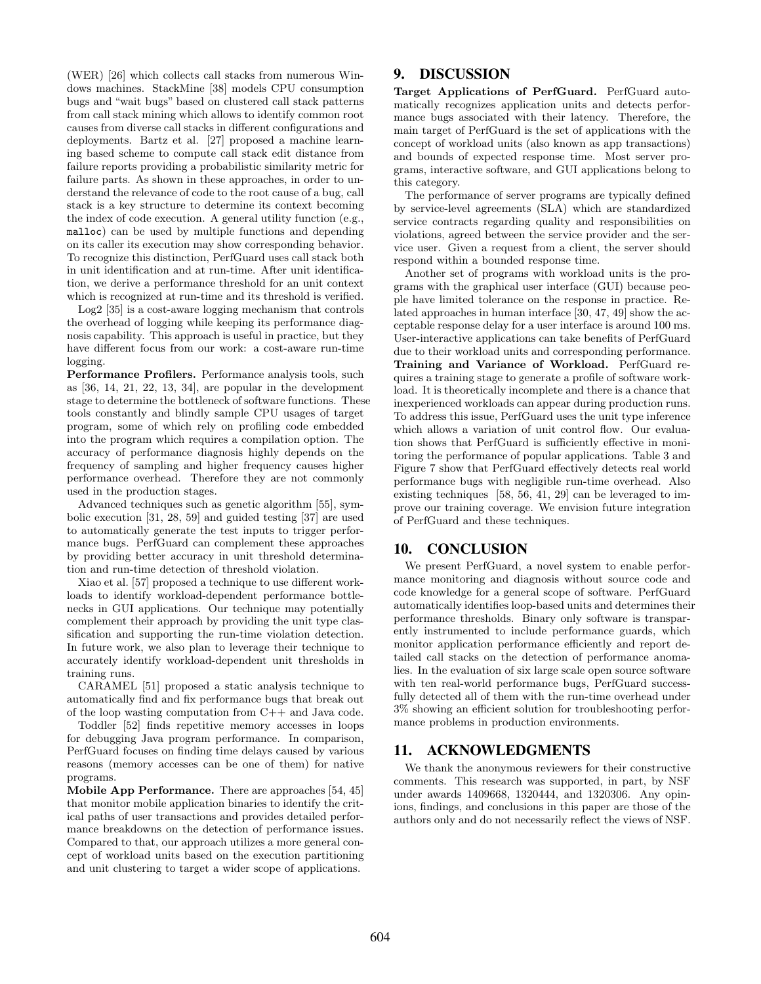(WER) [\[26\]](#page-10-28) which collects call stacks from numerous Windows machines. StackMine [\[38\]](#page-11-3) models CPU consumption bugs and "wait bugs" based on clustered call stack patterns from call stack mining which allows to identify common root causes from diverse call stacks in different configurations and deployments. Bartz et al. [\[27\]](#page-10-29) proposed a machine learning based scheme to compute call stack edit distance from failure reports providing a probabilistic similarity metric for failure parts. As shown in these approaches, in order to understand the relevance of code to the root cause of a bug, call stack is a key structure to determine its context becoming the index of code execution. A general utility function (e.g., malloc) can be used by multiple functions and depending on its caller its execution may show corresponding behavior. To recognize this distinction, PerfGuard uses call stack both in unit identification and at run-time. After unit identification, we derive a performance threshold for an unit context which is recognized at run-time and its threshold is verified.

Log2 [\[35\]](#page-10-30) is a cost-aware logging mechanism that controls the overhead of logging while keeping its performance diagnosis capability. This approach is useful in practice, but they have different focus from our work: a cost-aware run-time logging.

Performance Profilers. Performance analysis tools, such as [\[36,](#page-11-0) [14,](#page-10-1) [21,](#page-10-2) [22,](#page-10-0) [13,](#page-10-3) [34\]](#page-10-4), are popular in the development stage to determine the bottleneck of software functions. These tools constantly and blindly sample CPU usages of target program, some of which rely on profiling code embedded into the program which requires a compilation option. The accuracy of performance diagnosis highly depends on the frequency of sampling and higher frequency causes higher performance overhead. Therefore they are not commonly used in the production stages.

Advanced techniques such as genetic algorithm [\[55\]](#page-11-12), symbolic execution [\[31,](#page-10-31) [28,](#page-10-32) [59\]](#page-11-13) and guided testing [\[37\]](#page-11-14) are used to automatically generate the test inputs to trigger performance bugs. PerfGuard can complement these approaches by providing better accuracy in unit threshold determination and run-time detection of threshold violation.

Xiao et al. [\[57\]](#page-11-15) proposed a technique to use different workloads to identify workload-dependent performance bottlenecks in GUI applications. Our technique may potentially complement their approach by providing the unit type classification and supporting the run-time violation detection. In future work, we also plan to leverage their technique to accurately identify workload-dependent unit thresholds in training runs.

CARAMEL [\[51\]](#page-11-16) proposed a static analysis technique to automatically find and fix performance bugs that break out of the loop wasting computation from C++ and Java code.

Toddler [\[52\]](#page-11-17) finds repetitive memory accesses in loops for debugging Java program performance. In comparison, PerfGuard focuses on finding time delays caused by various reasons (memory accesses can be one of them) for native programs.

Mobile App Performance. There are approaches [\[54,](#page-11-4) [45\]](#page-11-18) that monitor mobile application binaries to identify the critical paths of user transactions and provides detailed performance breakdowns on the detection of performance issues. Compared to that, our approach utilizes a more general concept of workload units based on the execution partitioning and unit clustering to target a wider scope of applications.

#### <span id="page-9-0"></span>9. DISCUSSION

Target Applications of PerfGuard. PerfGuard automatically recognizes application units and detects performance bugs associated with their latency. Therefore, the main target of PerfGuard is the set of applications with the concept of workload units (also known as app transactions) and bounds of expected response time. Most server programs, interactive software, and GUI applications belong to this category.

The performance of server programs are typically defined by service-level agreements (SLA) which are standardized service contracts regarding quality and responsibilities on violations, agreed between the service provider and the service user. Given a request from a client, the server should respond within a bounded response time.

Another set of programs with workload units is the programs with the graphical user interface (GUI) because people have limited tolerance on the response in practice. Related approaches in human interface [\[30,](#page-10-33) [47,](#page-11-19) [49\]](#page-11-20) show the acceptable response delay for a user interface is around 100 ms. User-interactive applications can take benefits of PerfGuard due to their workload units and corresponding performance. Training and Variance of Workload. PerfGuard requires a training stage to generate a profile of software workload. It is theoretically incomplete and there is a chance that inexperienced workloads can appear during production runs. To address this issue, PerfGuard uses the unit type inference which allows a variation of unit control flow. Our evaluation shows that PerfGuard is sufficiently effective in monitoring the performance of popular applications. Table [3](#page-7-1) and Figure [7](#page-8-1) show that PerfGuard effectively detects real world performance bugs with negligible run-time overhead. Also existing techniques [\[58,](#page-11-21) [56,](#page-11-22) [41,](#page-11-23) [29\]](#page-10-34) can be leveraged to improve our training coverage. We envision future integration of PerfGuard and these techniques.

#### <span id="page-9-1"></span>10. CONCLUSION

We present PerfGuard, a novel system to enable performance monitoring and diagnosis without source code and code knowledge for a general scope of software. PerfGuard automatically identifies loop-based units and determines their performance thresholds. Binary only software is transparently instrumented to include performance guards, which monitor application performance efficiently and report detailed call stacks on the detection of performance anomalies. In the evaluation of six large scale open source software with ten real-world performance bugs, PerfGuard successfully detected all of them with the run-time overhead under 3% showing an efficient solution for troubleshooting performance problems in production environments.

#### 11. ACKNOWLEDGMENTS

We thank the anonymous reviewers for their constructive comments. This research was supported, in part, by NSF under awards 1409668, 1320444, and 1320306. Any opinions, findings, and conclusions in this paper are those of the authors only and do not necessarily reflect the views of NSF.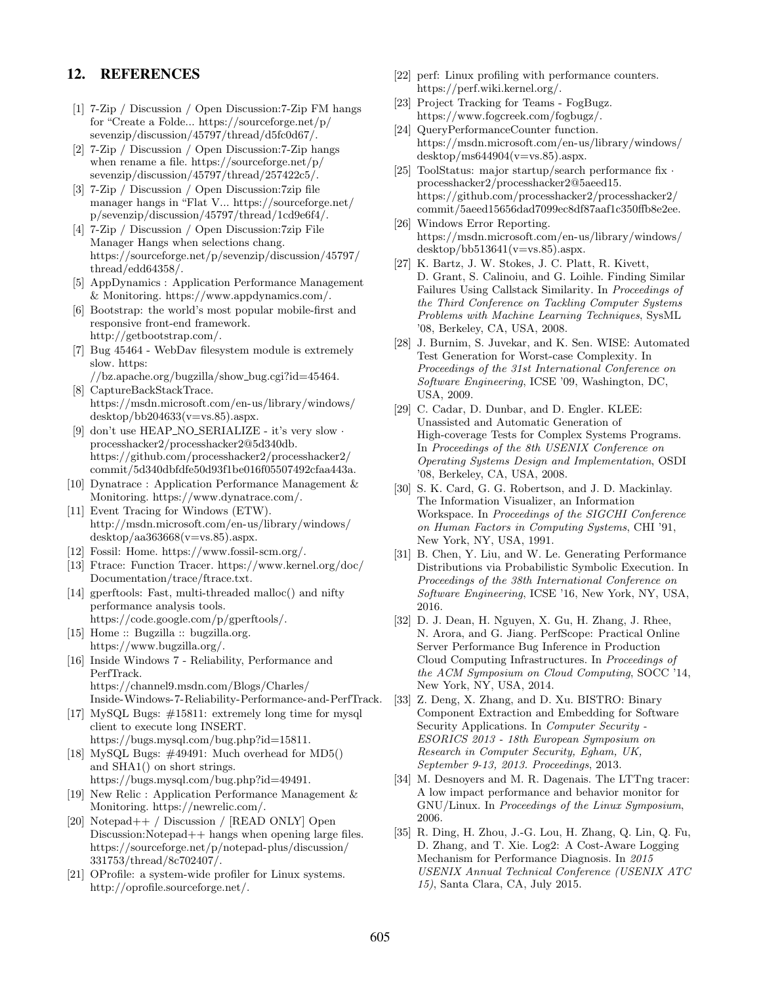#### 12. REFERENCES

- <span id="page-10-22"></span>[1] 7-Zip / Discussion / Open Discussion:7-Zip FM hangs for "Create a Folde... [https://sourceforge.net/p/](https://sourceforge.net/p/sevenzip/discussion/45797/thread/d5fc0d67/) [sevenzip/discussion/45797/thread/d5fc0d67/.](https://sourceforge.net/p/sevenzip/discussion/45797/thread/d5fc0d67/)
- <span id="page-10-20"></span>[2] 7-Zip / Discussion / Open Discussion:7-Zip hangs when rename a file. [https://sourceforge.net/p/](https://sourceforge.net/p/sevenzip/discussion/45797/thread/257422c5/) [sevenzip/discussion/45797/thread/257422c5/.](https://sourceforge.net/p/sevenzip/discussion/45797/thread/257422c5/)
- <span id="page-10-19"></span>[3] 7-Zip / Discussion / Open Discussion:7zip file manager hangs in "Flat V... [https://sourceforge.net/](https://sourceforge.net/p/sevenzip/discussion/45797/thread/1cd9e6f4/) [p/sevenzip/discussion/45797/thread/1cd9e6f4/.](https://sourceforge.net/p/sevenzip/discussion/45797/thread/1cd9e6f4/)
- <span id="page-10-21"></span>[4] 7-Zip / Discussion / Open Discussion:7zip File Manager Hangs when selections chang. [https://sourceforge.net/p/sevenzip/discussion/45797/](https://sourceforge.net/p/sevenzip/discussion/45797/thread/edd64358/) [thread/edd64358/.](https://sourceforge.net/p/sevenzip/discussion/45797/thread/edd64358/)
- <span id="page-10-10"></span>[5] AppDynamics : Application Performance Management & Monitoring. [https://www.appdynamics.com/.](https://www.appdynamics.com/)
- <span id="page-10-26"></span>[6] Bootstrap: the world's most popular mobile-first and responsive front-end framework. [http://getbootstrap.com/.](http://getbootstrap.com/)
- <span id="page-10-16"></span>[7] Bug 45464 - WebDav filesystem module is extremely slow. [https:](https://bz.apache.org/bugzilla/show_bug.cgi?id=45464)
- <span id="page-10-15"></span>[//bz.apache.org/bugzilla/show](https://bz.apache.org/bugzilla/show_bug.cgi?id=45464) bug.cgi?id=45464. [8] CaptureBackStackTrace.
- [https://msdn.microsoft.com/en-us/library/windows/](https://msdn.microsoft.com/en-us/library/windows/desktop/bb204633(v=vs.85).aspx) desktop/bb204633( $v=vs.85$ ).aspx.
- <span id="page-10-24"></span>[9] don't use HEAP\_NO\_SERIALIZE - it's very slow  $\cdot$ processhacker2/processhacker2@5d340db. [https://github.com/processhacker2/processhacker2/](https://github.com/processhacker2/processhacker2/commit/5d340dbfdfe50d93f1be016f05507492cfaa443a) [commit/5d340dbfdfe50d93f1be016f05507492cfaa443a.](https://github.com/processhacker2/processhacker2/commit/5d340dbfdfe50d93f1be016f05507492cfaa443a)
- <span id="page-10-12"></span>[10] Dynatrace : Application Performance Management & Monitoring. [https://www.dynatrace.com/.](https://www.dynatrace.com/)
- <span id="page-10-27"></span>[11] Event Tracing for Windows (ETW). [http://msdn.microsoft.com/en-us/library/windows/](http://msdn.microsoft.com/en-us/library/windows/desktop/aa363668(v=vs.85).aspx) desktop/aa $363668(v=vs.85)$ .aspx.
- <span id="page-10-7"></span>[12] Fossil: Home. [https://www.fossil-scm.org/.](https://www.fossil-scm.org/)
- <span id="page-10-3"></span>[13] Ftrace: Function Tracer. [https://www.kernel.org/doc/](https://www.kernel.org/doc/Documentation/trace/ftrace.txt) [Documentation/trace/ftrace.txt.](https://www.kernel.org/doc/Documentation/trace/ftrace.txt)
- <span id="page-10-1"></span>[14] gperftools: Fast, multi-threaded malloc() and nifty performance analysis tools. [https://code.google.com/p/gperftools/.](https://code.google.com/p/gperftools/)
- <span id="page-10-6"></span>[15] Home :: Bugzilla :: bugzilla.org. [https://www.bugzilla.org/.](https://www.bugzilla.org/)
- <span id="page-10-9"></span>[16] Inside Windows 7 - Reliability, Performance and PerfTrack. [https://channel9.msdn.com/Blogs/Charles/](https://channel9.msdn.com/Blogs/Charles/Inside-Windows-7-Reliability-Performance-and-PerfTrack)
- <span id="page-10-17"></span>[Inside-Windows-7-Reliability-Performance-and-PerfTrack.](https://channel9.msdn.com/Blogs/Charles/Inside-Windows-7-Reliability-Performance-and-PerfTrack) [17] MySQL Bugs: #15811: extremely long time for mysql client to execute long INSERT.
- <span id="page-10-18"></span>[https://bugs.mysql.com/bug.php?id=15811.](https://bugs.mysql.com/bug.php?id=15811) [18] MySQL Bugs: #49491: Much overhead for MD5() and SHA1() on short strings.
- <span id="page-10-11"></span>[https://bugs.mysql.com/bug.php?id=49491.](https://bugs.mysql.com/bug.php?id=49491) [19] New Relic : Application Performance Management &
- <span id="page-10-23"></span>Monitoring. [https://newrelic.com/.](https://newrelic.com/) [20] Notepad++ / Discussion / [READ ONLY] Open Discussion:Notepad++ hangs when opening large files. [https://sourceforge.net/p/notepad-plus/discussion/](https://sourceforge.net/p/notepad-plus/discussion/331753/thread/8c702407/) [331753/thread/8c702407/.](https://sourceforge.net/p/notepad-plus/discussion/331753/thread/8c702407/)
- <span id="page-10-2"></span>[21] OProfile: a system-wide profiler for Linux systems. [http://oprofile.sourceforge.net/.](http://oprofile.sourceforge.net/)
- <span id="page-10-0"></span>[22] perf: Linux profiling with performance counters. [https://perf.wiki.kernel.org/.](https://perf.wiki.kernel.org/)
- <span id="page-10-8"></span>[23] Project Tracking for Teams - FogBugz. [https://www.fogcreek.com/fogbugz/.](https://www.fogcreek.com/fogbugz/)
- <span id="page-10-14"></span>[24] QueryPerformanceCounter function. [https://msdn.microsoft.com/en-us/library/windows/](https://msdn.microsoft.com/en-us/library/windows/desktop/ms644904(v=vs.85).aspx) desktop/ms644904( $v=vs.85$ ).aspx.
- <span id="page-10-25"></span>[25] ToolStatus: major startup/search performance fix · processhacker2/processhacker2@5aeed15. [https://github.com/processhacker2/processhacker2/](https://github.com/processhacker2/processhacker2/commit/5aeed15656dad7099ec8df87aaf1c350ffb8e2ee) [commit/5aeed15656dad7099ec8df87aaf1c350ffb8e2ee.](https://github.com/processhacker2/processhacker2/commit/5aeed15656dad7099ec8df87aaf1c350ffb8e2ee)
- <span id="page-10-28"></span>[26] Windows Error Reporting. [https://msdn.microsoft.com/en-us/library/windows/](https://msdn.microsoft.com/en-us/library/windows/desktop/bb513641(v=vs.85).aspx) desktop/bb513641( $v=vs.85$ ).aspx.
- <span id="page-10-29"></span>[27] K. Bartz, J. W. Stokes, J. C. Platt, R. Kivett, D. Grant, S. Calinoiu, and G. Loihle. Finding Similar Failures Using Callstack Similarity. In Proceedings of the Third Conference on Tackling Computer Systems Problems with Machine Learning Techniques, SysML '08, Berkeley, CA, USA, 2008.
- <span id="page-10-32"></span>[28] J. Burnim, S. Juvekar, and K. Sen. WISE: Automated Test Generation for Worst-case Complexity. In Proceedings of the 31st International Conference on Software Engineering, ICSE '09, Washington, DC, USA, 2009.
- <span id="page-10-34"></span>[29] C. Cadar, D. Dunbar, and D. Engler. KLEE: Unassisted and Automatic Generation of High-coverage Tests for Complex Systems Programs. In Proceedings of the 8th USENIX Conference on Operating Systems Design and Implementation, OSDI '08, Berkeley, CA, USA, 2008.
- <span id="page-10-33"></span>[30] S. K. Card, G. G. Robertson, and J. D. Mackinlay. The Information Visualizer, an Information Workspace. In Proceedings of the SIGCHI Conference on Human Factors in Computing Systems, CHI '91, New York, NY, USA, 1991.
- <span id="page-10-31"></span>[31] B. Chen, Y. Liu, and W. Le. Generating Performance Distributions via Probabilistic Symbolic Execution. In Proceedings of the 38th International Conference on Software Engineering, ICSE '16, New York, NY, USA, 2016.
- <span id="page-10-5"></span>[32] D. J. Dean, H. Nguyen, X. Gu, H. Zhang, J. Rhee, N. Arora, and G. Jiang. PerfScope: Practical Online Server Performance Bug Inference in Production Cloud Computing Infrastructures. In Proceedings of the ACM Symposium on Cloud Computing, SOCC '14, New York, NY, USA, 2014.
- <span id="page-10-13"></span>[33] Z. Deng, X. Zhang, and D. Xu. BISTRO: Binary Component Extraction and Embedding for Software Security Applications. In Computer Security - ESORICS 2013 - 18th European Symposium on Research in Computer Security, Egham, UK, September 9-13, 2013. Proceedings, 2013.
- <span id="page-10-4"></span>[34] M. Desnoyers and M. R. Dagenais. The LTTng tracer: A low impact performance and behavior monitor for GNU/Linux. In Proceedings of the Linux Symposium, 2006.
- <span id="page-10-30"></span>[35] R. Ding, H. Zhou, J.-G. Lou, H. Zhang, Q. Lin, Q. Fu, D. Zhang, and T. Xie. Log2: A Cost-Aware Logging Mechanism for Performance Diagnosis. In 2015 USENIX Annual Technical Conference (USENIX ATC 15), Santa Clara, CA, July 2015.